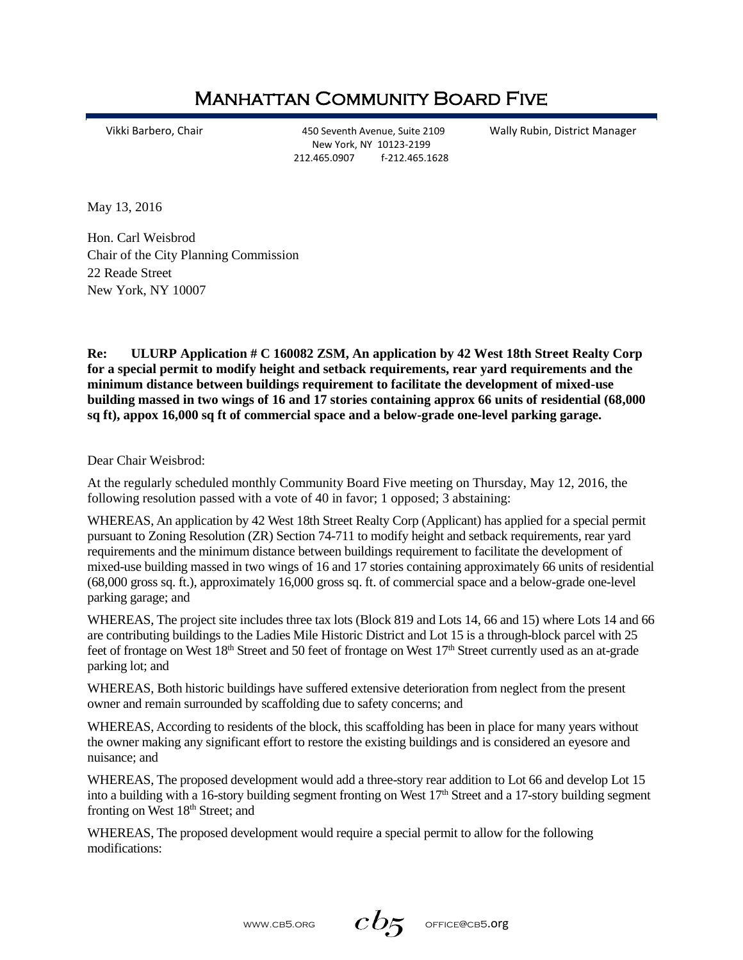## Manhattan Community Board Five

Vikki Barbero, Chair 450 Seventh Avenue, Suite 2109 Wally Rubin, District Manager New York, NY 10123-2199 212.465.0907 f-212.465.1628

May 13, 2016

Hon. Carl Weisbrod Chair of the City Planning Commission 22 Reade Street New York, NY 10007

**Re: ULURP Application # C 160082 ZSM, An application by 42 West 18th Street Realty Corp for a special permit to modify height and setback requirements, rear yard requirements and the minimum distance between buildings requirement to facilitate the development of mixed-use building massed in two wings of 16 and 17 stories containing approx 66 units of residential (68,000 sq ft), appox 16,000 sq ft of commercial space and a below-grade one-level parking garage.**

Dear Chair Weisbrod:

At the regularly scheduled monthly Community Board Five meeting on Thursday, May 12, 2016, the following resolution passed with a vote of 40 in favor; 1 opposed; 3 abstaining:

WHEREAS, An application by 42 West 18th Street Realty Corp (Applicant) has applied for a special permit pursuant to Zoning Resolution (ZR) Section 74-711 to modify height and setback requirements, rear yard requirements and the minimum distance between buildings requirement to facilitate the development of mixed-use building massed in two wings of 16 and 17 stories containing approximately 66 units of residential (68,000 gross sq. ft.), approximately 16,000 gross sq. ft. of commercial space and a below-grade one-level parking garage; and

WHEREAS, The project site includes three tax lots (Block 819 and Lots 14, 66 and 15) where Lots 14 and 66 are contributing buildings to the Ladies Mile Historic District and Lot 15 is a through-block parcel with 25 feet of frontage on West 18<sup>th</sup> Street and 50 feet of frontage on West 17<sup>th</sup> Street currently used as an at-grade parking lot; and

WHEREAS, Both historic buildings have suffered extensive deterioration from neglect from the present owner and remain surrounded by scaffolding due to safety concerns; and

WHEREAS, According to residents of the block, this scaffolding has been in place for many years without the owner making any significant effort to restore the existing buildings and is considered an eyesore and nuisance; and

WHEREAS, The proposed development would add a three-story rear addition to Lot 66 and develop Lot 15 into a building with a 16-story building segment fronting on West  $17<sup>th</sup>$  Street and a 17-story building segment fronting on West 18<sup>th</sup> Street; and

WHEREAS, The proposed development would require a special permit to allow for the following modifications:

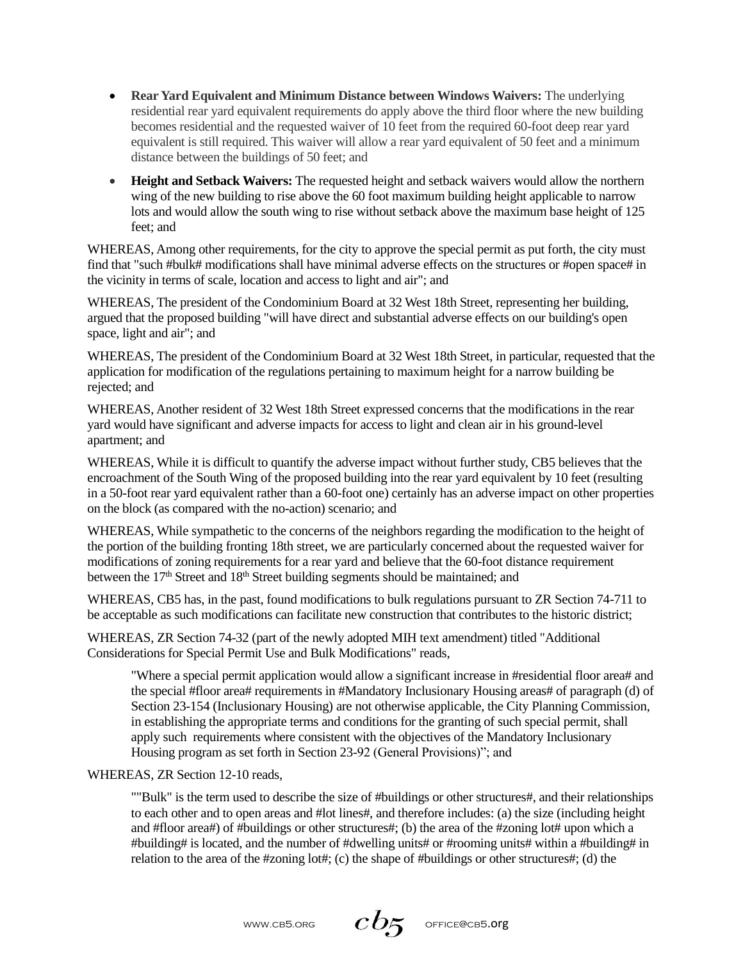- **Rear Yard Equivalent and Minimum Distance between Windows Waivers:** The underlying residential rear yard equivalent requirements do apply above the third floor where the new building becomes residential and the requested waiver of 10 feet from the required 60-foot deep rear yard equivalent is still required. This waiver will allow a rear yard equivalent of 50 feet and a minimum distance between the buildings of 50 feet; and
- **Height and Setback Waivers:** The requested height and setback waivers would allow the northern wing of the new building to rise above the 60 foot maximum building height applicable to narrow lots and would allow the south wing to rise without setback above the maximum base height of 125 feet; and

WHEREAS, Among other requirements, for the city to approve the special permit as put forth, the city must find that "such #bulk# modifications shall have minimal adverse effects on the structures or #open space# in the vicinity in terms of scale, location and access to light and air"; and

WHEREAS, The president of the Condominium Board at 32 West 18th Street, representing her building, argued that the proposed building "will have direct and substantial adverse effects on our building's open space, light and air"; and

WHEREAS, The president of the Condominium Board at 32 West 18th Street, in particular, requested that the application for modification of the regulations pertaining to maximum height for a narrow building be rejected; and

WHEREAS, Another resident of 32 West 18th Street expressed concerns that the modifications in the rear yard would have significant and adverse impacts for access to light and clean air in his ground-level apartment; and

WHEREAS, While it is difficult to quantify the adverse impact without further study, CB5 believes that the encroachment of the South Wing of the proposed building into the rear yard equivalent by 10 feet (resulting in a 50-foot rear yard equivalent rather than a 60-foot one) certainly has an adverse impact on other properties on the block (as compared with the no-action) scenario; and

WHEREAS, While sympathetic to the concerns of the neighbors regarding the modification to the height of the portion of the building fronting 18th street, we are particularly concerned about the requested waiver for modifications of zoning requirements for a rear yard and believe that the 60-foot distance requirement between the 17<sup>th</sup> Street and 18<sup>th</sup> Street building segments should be maintained; and

WHEREAS, CB5 has, in the past, found modifications to bulk regulations pursuant to ZR Section 74-711 to be acceptable as such modifications can facilitate new construction that contributes to the historic district;

WHEREAS, ZR Section 74-32 (part of the newly adopted MIH text amendment) titled "Additional Considerations for Special Permit Use and Bulk Modifications" reads,

"Where a special permit application would allow a significant increase in #residential floor area# and the special #floor area# requirements in #Mandatory Inclusionary Housing areas# of paragraph (d) of Section 23-154 (Inclusionary Housing) are not otherwise applicable, the City Planning Commission, in establishing the appropriate terms and conditions for the granting of such special permit, shall apply such requirements where consistent with the objectives of the Mandatory Inclusionary Housing program as set forth in Section 23-92 (General Provisions)"; and

WHEREAS, ZR Section 12-10 reads,

""Bulk" is the term used to describe the size of #buildings or other structures#, and their relationships to each other and to open areas and #lot lines#, and therefore includes: (a) the size (including height and #floor area#) of #buildings or other structures#; (b) the area of the #zoning lot# upon which a #building# is located, and the number of #dwelling units# or #rooming units# within a #building# in relation to the area of the #zoning lot#; (c) the shape of #buildings or other structures#; (d) the

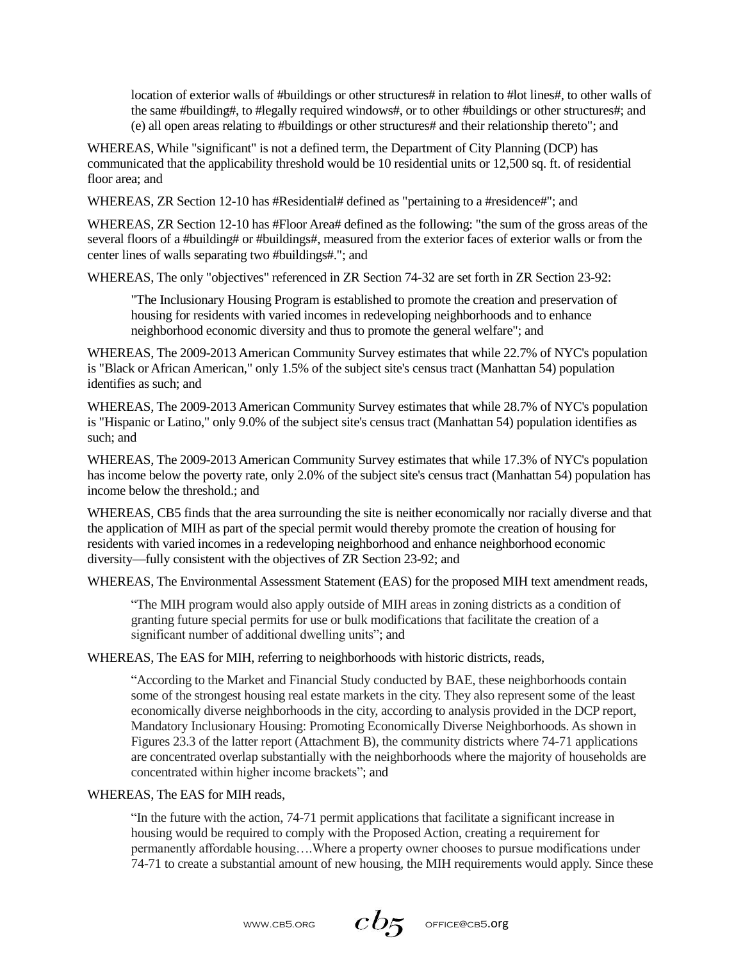location of exterior walls of #buildings or other structures# in relation to #lot lines#, to other walls of the same #building#, to #legally required windows#, or to other #buildings or other structures#; and (e) all open areas relating to #buildings or other structures# and their relationship thereto"; and

WHEREAS, While "significant" is not a defined term, the Department of City Planning (DCP) has communicated that the applicability threshold would be 10 residential units or 12,500 sq. ft. of residential floor area; and

WHEREAS, ZR Section 12-10 has #Residential# defined as "pertaining to a #residence#"; and

WHEREAS, ZR Section 12-10 has #Floor Area# defined as the following: "the sum of the gross areas of the several floors of a #building# or #buildings#, measured from the exterior faces of exterior walls or from the center lines of walls separating two #buildings#."; and

WHEREAS, The only "objectives" referenced in ZR Section 74-32 are set forth in ZR Section 23-92:

"The Inclusionary Housing Program is established to promote the creation and preservation of housing for residents with varied incomes in redeveloping neighborhoods and to enhance neighborhood economic diversity and thus to promote the general welfare"; and

WHEREAS, The 2009-2013 American Community Survey estimates that while 22.7% of NYC's population is "Black or African American," only 1.5% of the subject site's census tract (Manhattan 54) population identifies as such; and

WHEREAS, The 2009-2013 American Community Survey estimates that while 28.7% of NYC's population is "Hispanic or Latino," only 9.0% of the subject site's census tract (Manhattan 54) population identifies as such; and

WHEREAS, The 2009-2013 American Community Survey estimates that while 17.3% of NYC's population has income below the poverty rate, only 2.0% of the subject site's census tract (Manhattan 54) population has income below the threshold.; and

WHEREAS, CB5 finds that the area surrounding the site is neither economically nor racially diverse and that the application of MIH as part of the special permit would thereby promote the creation of housing for residents with varied incomes in a redeveloping neighborhood and enhance neighborhood economic diversity—fully consistent with the objectives of ZR Section 23-92; and

WHEREAS, The Environmental Assessment Statement (EAS) for the proposed MIH text amendment reads,

"The MIH program would also apply outside of MIH areas in zoning districts as a condition of granting future special permits for use or bulk modifications that facilitate the creation of a significant number of additional dwelling units"; and

WHEREAS, The EAS for MIH, referring to neighborhoods with historic districts, reads,

"According to the Market and Financial Study conducted by BAE, these neighborhoods contain some of the strongest housing real estate markets in the city. They also represent some of the least economically diverse neighborhoods in the city, according to analysis provided in the DCP report, Mandatory Inclusionary Housing: Promoting Economically Diverse Neighborhoods. As shown in Figures 23.3 of the latter report (Attachment B), the community districts where 74-71 applications are concentrated overlap substantially with the neighborhoods where the majority of households are concentrated within higher income brackets"; and

## WHEREAS, The EAS for MIH reads,

"In the future with the action, 74-71 permit applications that facilitate a significant increase in housing would be required to comply with the Proposed Action, creating a requirement for permanently affordable housing….Where a property owner chooses to pursue modifications under 74-71 to create a substantial amount of new housing, the MIH requirements would apply. Since these

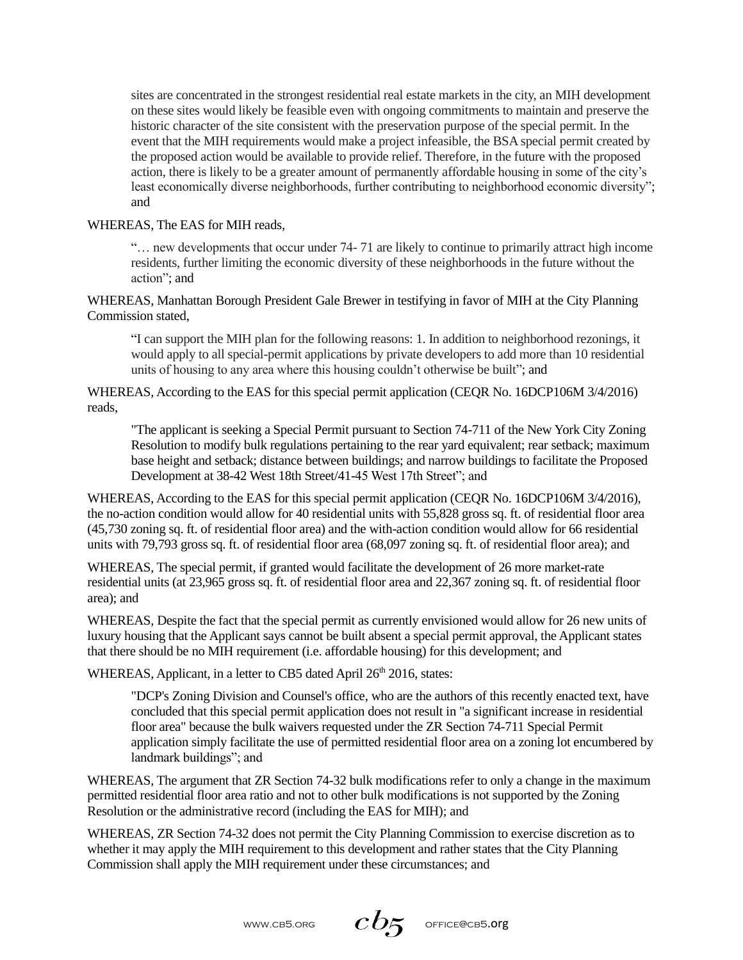sites are concentrated in the strongest residential real estate markets in the city, an MIH development on these sites would likely be feasible even with ongoing commitments to maintain and preserve the historic character of the site consistent with the preservation purpose of the special permit. In the event that the MIH requirements would make a project infeasible, the BSA special permit created by the proposed action would be available to provide relief. Therefore, in the future with the proposed action, there is likely to be a greater amount of permanently affordable housing in some of the city's least economically diverse neighborhoods, further contributing to neighborhood economic diversity"; and

## WHEREAS, The EAS for MIH reads,

"… new developments that occur under 74- 71 are likely to continue to primarily attract high income residents, further limiting the economic diversity of these neighborhoods in the future without the action"; and

WHEREAS, Manhattan Borough President Gale Brewer in testifying in favor of MIH at the City Planning Commission stated,

"I can support the MIH plan for the following reasons: 1. In addition to neighborhood rezonings, it would apply to all special-permit applications by private developers to add more than 10 residential units of housing to any area where this housing couldn't otherwise be built"; and

WHEREAS, According to the EAS for this special permit application (CEQR No. 16DCP106M 3/4/2016) reads,

"The applicant is seeking a Special Permit pursuant to Section 74-711 of the New York City Zoning Resolution to modify bulk regulations pertaining to the rear yard equivalent; rear setback; maximum base height and setback; distance between buildings; and narrow buildings to facilitate the Proposed Development at 38-42 West 18th Street/41-45 West 17th Street"; and

WHEREAS, According to the EAS for this special permit application (CEQR No. 16DCP106M 3/4/2016), the no-action condition would allow for 40 residential units with 55,828 gross sq. ft. of residential floor area (45,730 zoning sq. ft. of residential floor area) and the with-action condition would allow for 66 residential units with 79,793 gross sq. ft. of residential floor area (68,097 zoning sq. ft. of residential floor area); and

WHEREAS, The special permit, if granted would facilitate the development of 26 more market-rate residential units (at 23,965 gross sq. ft. of residential floor area and 22,367 zoning sq. ft. of residential floor area); and

WHEREAS, Despite the fact that the special permit as currently envisioned would allow for 26 new units of luxury housing that the Applicant says cannot be built absent a special permit approval, the Applicant states that there should be no MIH requirement (i.e. affordable housing) for this development; and

WHEREAS, Applicant, in a letter to CB5 dated April 26<sup>th</sup> 2016, states:

"DCP's Zoning Division and Counsel's office, who are the authors of this recently enacted text, have concluded that this special permit application does not result in "a significant increase in residential floor area" because the bulk waivers requested under the ZR Section 74-711 Special Permit application simply facilitate the use of permitted residential floor area on a zoning lot encumbered by landmark buildings"; and

WHEREAS, The argument that ZR Section 74-32 bulk modifications refer to only a change in the maximum permitted residential floor area ratio and not to other bulk modifications is not supported by the Zoning Resolution or the administrative record (including the EAS for MIH); and

WHEREAS, ZR Section 74-32 does not permit the City Planning Commission to exercise discretion as to whether it may apply the MIH requirement to this development and rather states that the City Planning Commission shall apply the MIH requirement under these circumstances; and